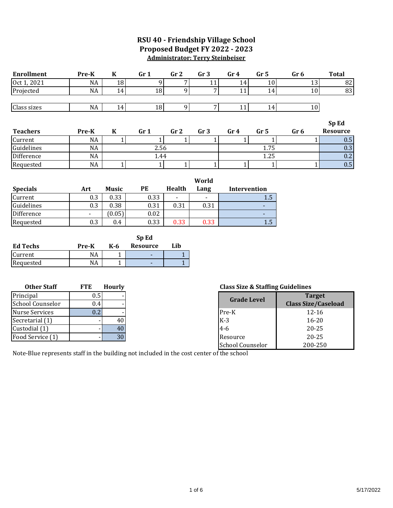### **RSU 40 - Friendship Village School Proposed Budget FY 2022 - 2023 Administrator: Terry Steinbeiser**

| <b>Enrollment</b>  | Pre-K      | $\bf K$       | Gr <sub>1</sub>          | Gr <sub>2</sub> | Gr <sub>3</sub> | Gr <sub>4</sub>                             | Gr <sub>5</sub> | Gr <sub>6</sub> |                | <b>Total</b>               |
|--------------------|------------|---------------|--------------------------|-----------------|-----------------|---------------------------------------------|-----------------|-----------------|----------------|----------------------------|
| Oct 1, 2021        | NA         | 18            | 9                        |                 | 11              | 14                                          | 10              |                 | 13             | 82                         |
| Projected          | <b>NA</b>  | 14            | 18                       | 9               | 7               | 11                                          | 14              |                 | 10             | 83                         |
| Class sizes        | NA         | 14            | 18                       | 9               | $\overline{7}$  | 11                                          | 14              |                 | 10             |                            |
|                    |            |               |                          |                 |                 |                                             |                 |                 |                |                            |
|                    |            |               |                          |                 |                 |                                             |                 |                 |                | Sp Ed                      |
| <b>Teachers</b>    | Pre-K      | $\bf K$       | Gr <sub>1</sub>          | Gr <sub>2</sub> | Gr <sub>3</sub> | Gr <sub>4</sub>                             | Gr <sub>5</sub> | Gr <sub>6</sub> |                | <b>Resource</b>            |
| Current            | <b>NA</b>  | 1             | $\mathbf{1}$             | $\mathbf{1}$    | 1               | $\mathbf{1}$                                | $\mathbf{1}$    |                 | 1 <sup>1</sup> | 0.5                        |
| Guidelines         | <b>NA</b>  |               | 2.56                     |                 |                 |                                             | 1.75            |                 |                | 0.3                        |
| Difference         | <b>NA</b>  |               | 1.44                     |                 |                 |                                             | 1.25            |                 |                | 0.2                        |
| Requested          | <b>NA</b>  | 1             | $\mathbf{1}$             | 1               | 1               | 1                                           | 1               |                 | $1\vert$       | 0.5                        |
|                    |            |               |                          |                 |                 |                                             |                 |                 |                |                            |
|                    |            |               |                          |                 | World           |                                             |                 |                 |                |                            |
| <b>Specials</b>    | Art        | <b>Music</b>  | PE                       | <b>Health</b>   | Lang            | Intervention                                |                 |                 |                |                            |
| Current            | 0.3        | 0.33          | 0.33                     |                 |                 |                                             | 1.5             |                 |                |                            |
| Guidelines         | 0.3        | 0.38          | 0.31                     | 0.31            | 0.31            |                                             |                 |                 |                |                            |
| Difference         |            | (0.05)        | 0.02                     |                 |                 |                                             | $\blacksquare$  |                 |                |                            |
| Requested          | 0.3        | 0.4           | 0.33                     | 0.33            | 0.33            |                                             | 1.5             |                 |                |                            |
|                    |            |               | Sp Ed                    |                 |                 |                                             |                 |                 |                |                            |
| <b>Ed Techs</b>    | Pre-K      | K-6           | <b>Resource</b>          | Lib             |                 |                                             |                 |                 |                |                            |
| Current            | NA         | 1             |                          | $\mathbf{1}$    |                 |                                             |                 |                 |                |                            |
| Requested          | <b>NA</b>  | 1             | $\overline{\phantom{a}}$ | $\mathbf{1}$    |                 |                                             |                 |                 |                |                            |
|                    |            |               |                          |                 |                 |                                             |                 |                 |                |                            |
|                    |            |               |                          |                 |                 |                                             |                 |                 |                |                            |
| <b>Other Staff</b> | <b>FTE</b> | <b>Hourly</b> |                          |                 |                 | <b>Class Size &amp; Staffing Guidelines</b> |                 |                 |                |                            |
| Principal          | 0.5        |               |                          |                 |                 | <b>Grade Level</b>                          |                 |                 | <b>Target</b>  |                            |
| School Counselor   | 0.4        |               |                          |                 |                 |                                             |                 |                 |                | <b>Class Size/Caseload</b> |

| <b>Grade Level</b>      | <b>Target</b><br><b>Class Size/Caseload</b> |
|-------------------------|---------------------------------------------|
| Pre-K                   | $12 - 16$                                   |
| $K-3$                   | $16 - 20$                                   |
| $4 - 6$                 | $20 - 25$                                   |
| Resource                | $20 - 25$                                   |
| <b>School Counselor</b> | 200-250                                     |

Note-Blue represents staff in the building not included in the cost center of the school

Nurse Services 0.2

Secretarial (1)  $\qquad \qquad$  - 40 Custodial (1)  $\qquad$  - 40 Food Service (1) Food Service (1)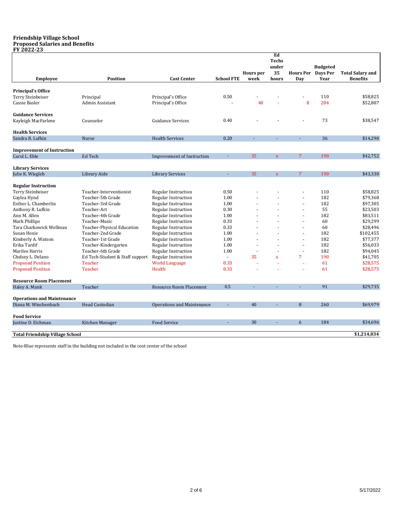### **Friendship Village School Proposed Salaries and Benefits**

| FY 2022-23                                           |                                 |                                   |                   |                          |                                            |                           |                         |                                            |
|------------------------------------------------------|---------------------------------|-----------------------------------|-------------------|--------------------------|--------------------------------------------|---------------------------|-------------------------|--------------------------------------------|
| <b>Employee</b>                                      | <b>Position</b>                 | <b>Cost Center</b>                | <b>School FTE</b> | <b>Hours</b> per<br>week | Ed<br><b>Techs</b><br>under<br>35<br>hours | Hours Per Days Per<br>Day | <b>Budgeted</b><br>Year | <b>Total Salary and</b><br><b>Benefits</b> |
|                                                      |                                 |                                   |                   |                          |                                            |                           |                         |                                            |
| <b>Principal's Office</b>                            |                                 |                                   |                   |                          |                                            |                           |                         |                                            |
| Terry Steinbeiser                                    | Principal                       | Principal's Office                | 0.50              |                          |                                            |                           | 110                     | \$58,825                                   |
| Cassie Basler                                        | Admin Assistant                 | Principal's Office                |                   | 40                       |                                            | 8                         | 204                     | \$52,807                                   |
| <b>Guidance Services</b>                             |                                 |                                   |                   |                          |                                            |                           |                         |                                            |
| Kayleigh MacFarlene                                  | Counselor                       | <b>Guidance Services</b>          | 0.40              |                          |                                            |                           | 73                      | \$38,547                                   |
| <b>Health Services</b>                               |                                 |                                   |                   |                          |                                            |                           |                         |                                            |
| Sandra R. Lufkin                                     | <b>Nurse</b>                    | <b>Health Services</b>            | 0.20              | ä,                       | ÷.                                         | ÷.                        | 36                      | \$14,290                                   |
|                                                      |                                 |                                   |                   |                          |                                            |                           |                         |                                            |
| <b>Improvement of Instruction</b>                    |                                 |                                   |                   |                          |                                            |                           |                         |                                            |
| Carol L. Ehle                                        | Ed Tech                         | Improvement of Instruction        | ÷,                | 35                       | $\mathbf X$                                | 7                         | 190                     | \$42,752                                   |
| <b>Library Services</b>                              |                                 |                                   |                   |                          |                                            |                           |                         |                                            |
| Julie K. Wiegleb                                     | Library Aide                    | <b>Library Services</b>           |                   | 35                       | $\mathbf{x}$                               | $\overline{7}$            | 190                     | \$43,330                                   |
| <b>Regular Instruction</b>                           |                                 |                                   |                   |                          |                                            |                           |                         |                                            |
| Terry Steinbeiser                                    | Teacher-Interventionist         | Regular Instruction               | 0.50              |                          |                                            |                           | 110                     | \$58,825                                   |
| Gaylea Hynd                                          | Teacher-5th Grade               | <b>Regular Instruction</b>        | 1.00              |                          |                                            | ä,                        | 182                     | \$79,368                                   |
| Esther L. Chamberlin                                 | Teacher-3rd Grade               | Regular Instruction               | 1.00              |                          |                                            | ÷.                        | 182                     | \$97,305                                   |
| Anthony R. Lufkin                                    | Teacher-Art                     | <b>Regular Instruction</b>        | 0.30              |                          |                                            | ä,                        | 55                      | \$23,503                                   |
| Ann M. Allen                                         | Teacher-4th Grade               | <b>Regular Instruction</b>        | 1.00              |                          |                                            |                           | 182                     | \$83,511                                   |
| Mark Phillips                                        | Teacher-Music                   | <b>Regular Instruction</b>        | 0.33              |                          |                                            | ä,                        | 60                      | \$29,299                                   |
| Tara Charkowick Wellman                              | Teacher-Physical Education      | <b>Regular Instruction</b>        | 0.33              |                          |                                            |                           | 60                      | \$28,496                                   |
| Susan Hoxie                                          | Teacher-2nd Grade               | <b>Regular Instruction</b>        | 1.00              |                          |                                            |                           | 182                     | \$102,455                                  |
| Kimberly A. Watson                                   | Teacher-1st Grade               | <b>Regular Instruction</b>        | 1.00              |                          |                                            | L.                        | 182                     | \$77,377                                   |
| Erika Tardif                                         | Teacher-Kindergarten            | <b>Regular Instruction</b>        | 1.00              |                          |                                            | ä,                        | 182                     | \$56,033                                   |
| Marilee Harris                                       | Teacher-6th Grade               | <b>Regular Instruction</b>        | 1.00              |                          |                                            | J.                        | 182                     | \$94,045                                   |
| Chelsey L. Delano                                    | Ed Tech-Student & Staff support | <b>Regular Instruction</b>        | $\sim$            | 35                       | $\overline{\mathbf{x}}$                    | 7                         | 190                     | \$41,705                                   |
|                                                      | Teacher                         |                                   | 0.33              |                          |                                            | ä,                        | 61                      | \$28,575                                   |
| <b>Proposed Position</b><br><b>Proposed Position</b> | <b>Teacher</b>                  | <b>World Language</b><br>Health   | 0.33              |                          |                                            |                           | 61                      | \$28,575                                   |
|                                                      |                                 |                                   |                   |                          |                                            |                           |                         |                                            |
| <b>Resource Room Placement</b>                       |                                 |                                   |                   |                          |                                            |                           |                         |                                            |
| Haley A. Mank                                        | Teacher                         | Resource Room Placement           | 0.5               |                          |                                            |                           | 91                      | \$29,735                                   |
| <b>Operations and Maintenance</b>                    |                                 |                                   |                   |                          |                                            |                           |                         |                                            |
| Diana M. Winchenbach                                 | <b>Head Custodian</b>           | <b>Operations and Maintenance</b> | ÷,                | 40                       |                                            | 8                         | 260                     | \$69,979                                   |
|                                                      |                                 |                                   |                   |                          |                                            |                           |                         |                                            |
| <b>Food Service</b>                                  |                                 |                                   |                   |                          |                                            |                           |                         |                                            |
| Justine D. Eichman                                   | Kitchen Manager                 | <b>Food Service</b>               |                   | 30                       |                                            | 6                         | 184                     | \$34,696                                   |
| <b>Total Friendship Village School</b>               |                                 |                                   |                   |                          |                                            |                           |                         | \$1,214,034                                |
|                                                      |                                 |                                   |                   |                          |                                            |                           |                         |                                            |

Note-Blue represents staff in the building not included in the cost center of the school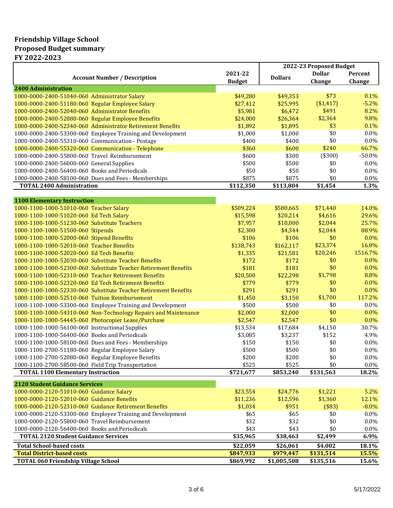### **Friendship Village School Proposed Budget summary FY 2022-2023**

|                                                                 |               | 2022-23 Proposed Budget |               |          |
|-----------------------------------------------------------------|---------------|-------------------------|---------------|----------|
| <b>Account Number / Description</b>                             | 2021-22       | <b>Dollars</b>          | <b>Dollar</b> | Percent  |
|                                                                 | <b>Budget</b> |                         | Change        | Change   |
| 2400 Administration                                             |               |                         |               |          |
| 1000-0000-2400-51040-060 Administrator Salary                   | \$49,280      | \$49,353                | \$73          | 0.1%     |
| 1000-0000-2400-51180-060 Regular Employee Salary                | \$27,412      | \$25,995                | (\$1,417)     | $-5.2%$  |
| 1000-0000-2400-52040-060 Administrator Benefits                 | \$5,981       | \$6,472                 | \$491         | 8.2%     |
| 1000-0000-2400-52080-060 Regular Employee Benefits              | \$24,000      | \$26,364                | \$2,364       | 9.8%     |
| 1000-0000-2400-52340-060 Administrator Retirement Benefits      | \$1,892       | \$1,895                 | \$3           | 0.1%     |
| 1000-0000-2400-53300-060 Employee Training and Development      | \$1,000       | \$1,000                 | \$0           | 0.0%     |
| 1000-0000-2400-55310-060 Communication - Postage                | \$400         | \$400                   | \$0           | 0.0%     |
| 1000-0000-2400-55320-060 Communication - Telephone              | \$360         | \$600                   | \$240         | 66.7%    |
| 1000-0000-2400-55800-060 Travel Reimbursement                   | \$600         | \$300                   | (\$300)       | $-50.0%$ |
| 1000-0000-2400-56000-060 General Supplies                       | \$500         | \$500                   | \$0           | 0.0%     |
| 1000-0000-2400-56400-060 Books and Periodicals                  | \$50          | \$50                    | \$0           | 0.0%     |
| 1000-0000-2400-58100-060 Dues and Fees - Memberships            | \$875         | \$875                   | \$0           | 0.0%     |
| <b>TOTAL 2400 Administration</b>                                | \$112,350     | \$113,804               | \$1,454       | 1.3%     |
|                                                                 |               |                         |               |          |
| <b>1100 Elementary Instruction</b>                              |               |                         |               |          |
| 1000-1100-1000-51010-060 Teacher Salary                         | \$509,224     | \$580,665               | \$71,440      | 14.0%    |
| 1000-1100-1000-51020-060 Ed Tech Salary                         | \$15,598      | \$20,214                | \$4,616       | 29.6%    |
| 1000-1100-1000-51230-060 Substitute Teachers                    | \$7,957       | \$10,000                | \$2,044       | 25.7%    |
| 1000-1100-1000-51500-060 Stipends                               | \$2,300       | \$4,344                 | \$2,044       | 88.9%    |
| 1000-1100-1000-52000-060 Stipend Benefits                       | \$106         | \$106                   | \$0           | $0.0\%$  |
| 1000-1100-1000-52010-060 Teacher Benefits                       | \$138,743     | \$162,117               | \$23,374      | 16.8%    |
| 1000-1100-1000-52020-060 Ed Tech Benefits                       | \$1,335       | \$21,581                | \$20,246      | 1516.7%  |
| 1000-1100-1000-52030-060 Substitute Teacher Benefits            | \$172         | \$172                   | \$0           | 0.0%     |
| 1000-1100-1000-52300-060 Substitute Teacher Retirement Benefits | \$181         | \$181                   | \$0           | 0.0%     |
| 1000-1100-1000-52310-060 Teacher Retirement Benefits            | \$20,500      | \$22,298                | \$1,798       | 8.8%     |
| 1000-1100-1000-52320-060 Ed Tech Retirement Benefits            | \$779         | \$779                   | \$0           | 0.0%     |
| 1000-1100-1000-52330-060 Substitute Teacher Retirement Benefits | \$291         | \$291                   | \$0           | 0.0%     |
| 1000-1100-1000-52510-060 Tuition Reimbursement                  | \$1,450       | \$3,150                 | \$1,700       | 117.2%   |
| 1000-1100-1000-53300-060 Employee Training and Development      | \$500         | \$500                   | \$0           | 0.0%     |
| 1000-1100-1000-54310-060 Non-Technology Repairs and Maintenance | \$2,000       | \$2,000                 | \$0           | 0.0%     |
| 1000-1100-1000-54445-060 Photocopier Lease/Purchase             | \$2,547       | \$2,547                 | \$0           | 0.0%     |
| 1000-1100-1000-56100-060 Instructional Supplies                 | \$13,534      | \$17,684                | \$4,150       | 30.7%    |
| 1000-1100-1000-56400-060 Books and Periodicals                  | \$3,085       | \$3,237                 | \$152         | 4.9%     |
| 1000-1100-1000-58100-060 Dues and Fees - Memberships            | \$150         | \$150                   | \$0           | 0.0%     |
| 1000-1100-2700-51180-060 Regular Employee Salary                | \$500         | \$500                   | \$0           | $0.0\%$  |
| 1000-1100-2700-52080-060 Regular Employee Benefits              | \$200         | \$200                   | \$0           | $0.0\%$  |
| 1000-1100-2700-58500-060 Field Trip Transportation              | \$525         | \$525                   | \$0           | 0.0%     |
| <b>TOTAL 1100 Elementary Instruction</b>                        | \$721,677     | \$853,240               | \$131,563     | 18.2%    |
|                                                                 |               |                         |               |          |
| <b>2120 Student Guidance Services</b>                           |               |                         |               |          |
| 1000-0000-2120-51010-060 Guidance Salary                        | \$23,554      | \$24,776                | \$1,221       | 5.2%     |
| 1000-0000-2120-52010-060 Guidance Benefits                      | \$11,236      | \$12,596                | \$1,360       | 12.1%    |
| 1000-0000-2120-52310-060 Guidance Retirement Benefits           | \$1,034       | \$951                   | (\$83)        | $-8.0%$  |
| 1000-0000-2120-53300-060 Employee Training and Development      | \$65          | \$65                    | \$0           | 0.0%     |
| 1000-0000-2120-55800-060 Travel Reimbursement                   | \$32          | \$32                    | \$0           | 0.0%     |
| 1000-0000-2120-56400-060 Books and Periodicals                  | \$43          | \$43                    | \$0           | 0.0%     |
| <b>TOTAL 2120 Student Guidance Services</b>                     | \$35,965      | \$38,463                | \$2,499       | 6.9%     |
| <b>Total School-based costs</b>                                 | \$22,059      | \$26,061                | \$4,002       | 18.1%    |
| <b>Total District-based costs</b>                               | \$847,933     | \$979,447               | \$131,514     | 15.5%    |
| <b>TOTAL 060 Friendship Village School</b>                      | \$869,992     | \$1,005,508             | \$135,516     | 15.6%    |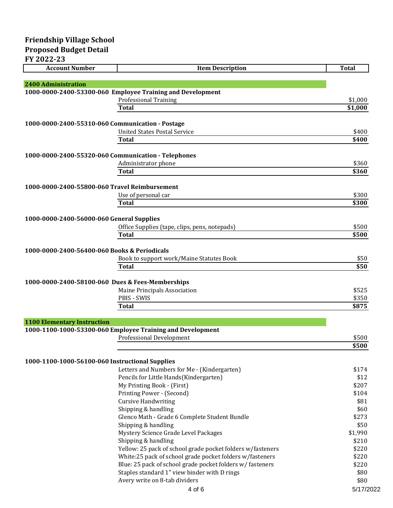| FY 2022-23                                       |                                                                                            |                |
|--------------------------------------------------|--------------------------------------------------------------------------------------------|----------------|
| <b>Account Number</b>                            | <b>Item Description</b>                                                                    | <b>Total</b>   |
|                                                  |                                                                                            |                |
| <b>2400 Administration</b>                       |                                                                                            |                |
|                                                  | 1000-0000-2400-53300-060 Employee Training and Development<br><b>Professional Training</b> | \$1,000        |
|                                                  | Total                                                                                      | \$1,000        |
|                                                  |                                                                                            |                |
| 1000-0000-2400-55310-060 Communication - Postage |                                                                                            |                |
|                                                  | <b>United States Postal Service</b>                                                        | \$400          |
|                                                  | <b>Total</b>                                                                               | \$400          |
|                                                  | 1000-0000-2400-55320-060 Communication - Telephones                                        |                |
|                                                  | Administrator phone                                                                        | \$360          |
|                                                  | <b>Total</b>                                                                               | \$360          |
|                                                  |                                                                                            |                |
| 1000-0000-2400-55800-060 Travel Reimbursement    |                                                                                            |                |
|                                                  | Use of personal car                                                                        | \$300          |
|                                                  | Total                                                                                      | \$300          |
| 1000-0000-2400-56000-060 General Supplies        |                                                                                            |                |
|                                                  | Office Supplies (tape, clips, pens, notepads)                                              | \$500          |
|                                                  | <b>Total</b>                                                                               | \$500          |
|                                                  |                                                                                            |                |
| 1000-0000-2400-56400-060 Books & Periodicals     |                                                                                            |                |
|                                                  | Book to support work/Maine Statutes Book                                                   | \$50           |
|                                                  | <b>Total</b>                                                                               | \$50           |
|                                                  | 1000-0000-2400-58100-060 Dues & Fees-Memberships                                           |                |
|                                                  | Maine Principals Association                                                               | \$525          |
|                                                  | <b>PBIS - SWIS</b>                                                                         | \$350          |
|                                                  | <b>Total</b>                                                                               | \$875          |
|                                                  |                                                                                            |                |
| <b>1100 Elementary Instruction</b>               |                                                                                            |                |
|                                                  | 1000-1100-1000-53300-060 Employee Training and Development                                 |                |
|                                                  | <b>Professional Development</b>                                                            | \$500<br>\$500 |
|                                                  |                                                                                            |                |
| 1000-1100-1000-56100-060 Instructional Supplies  |                                                                                            |                |
|                                                  | Letters and Numbers for Me - (Kindergarten)                                                | \$174          |
|                                                  | Pencils for Little Hands(Kindergarten)                                                     | \$12           |
|                                                  | My Printing Book - (First)                                                                 | \$207          |
|                                                  | Printing Power - (Second)                                                                  | \$104          |
|                                                  | <b>Cursive Handwriting</b>                                                                 | \$81           |
|                                                  | Shipping & handling                                                                        | \$60           |
|                                                  | Glenco Math - Grade 6 Complete Student Bundle                                              | \$273          |
|                                                  | Shipping & handling                                                                        | \$50           |
|                                                  | Mystery Science Grade Level Packages                                                       | \$1,990        |
|                                                  | Shipping & handling                                                                        | \$210          |
|                                                  | Yellow: 25 pack of school grade pocket folders w/fasteners                                 | \$220          |
|                                                  | White:25 pack of school grade pocket folders w/fasteners                                   | \$220          |
|                                                  | Blue: 25 pack of school grade pocket folders w/ fasteners                                  | \$220          |
|                                                  | Staples standard 1" view binder with D rings                                               | \$80           |
|                                                  | Avery write on 8-tab dividers                                                              | \$80           |

Avery write on 8-tab dividers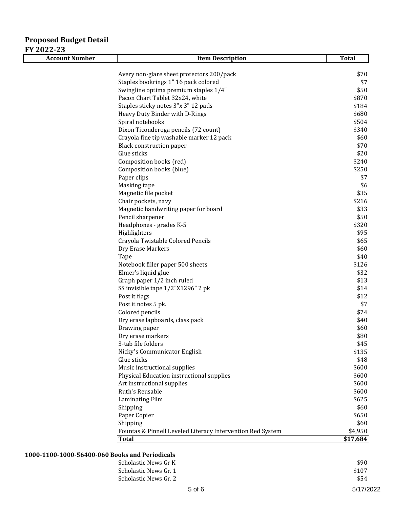# **Proposed Budget Detail FY 2022-23**

| <b>Account Number</b> | <b>Item Description</b>                                    | <b>Total</b> |
|-----------------------|------------------------------------------------------------|--------------|
|                       |                                                            |              |
|                       | Avery non-glare sheet protectors 200/pack                  | \$70         |
|                       | Staples bookrings 1" 16 pack colored                       | \$7          |
|                       | Swingline optima premium staples 1/4"                      | \$50         |
|                       | Pacon Chart Tablet 32x24, white                            | \$870        |
|                       | Staples sticky notes 3"x 3" 12 pads                        | \$184        |
|                       | Heavy Duty Binder with D-Rings                             | \$680        |
|                       | Spiral notebooks                                           | \$504        |
|                       | Dixon Ticonderoga pencils (72 count)                       | \$340        |
|                       | Crayola fine tip washable marker 12 pack                   | \$60         |
|                       | <b>Black construction paper</b>                            | \$70         |
|                       | Glue sticks                                                | \$20         |
|                       | Composition books (red)                                    | \$240        |
|                       | Composition books (blue)                                   | \$250        |
|                       | Paper clips                                                | \$7          |
|                       | Masking tape                                               | \$6          |
|                       | Magnetic file pocket                                       | \$35         |
|                       | Chair pockets, navy                                        | \$216        |
|                       | Magnetic handwriting paper for board                       | \$33         |
|                       | Pencil sharpener                                           | \$50         |
|                       | Headphones - grades K-5                                    | \$320        |
|                       | Highlighters                                               | \$95         |
|                       | Crayola Twistable Colored Pencils                          | \$65         |
|                       | Dry Erase Markers                                          | \$60         |
|                       | Tape                                                       | \$40         |
|                       | Notebook filler paper 500 sheets                           | \$126        |
|                       | Elmer's liquid glue                                        | \$32         |
|                       | Graph paper 1/2 inch ruled                                 | \$13         |
|                       | SS invisible tape 1/2"X1296" 2 pk                          | \$14         |
|                       | Post it flags                                              | \$12         |
|                       | Post it notes 5 pk.                                        | \$7          |
|                       | Colored pencils                                            | \$74         |
|                       | Dry erase lapboards, class pack                            | \$40         |
|                       | Drawing paper                                              | \$60         |
|                       | Dry erase markers                                          | \$80         |
|                       | 3-tab file folders                                         | \$45         |
|                       | Nicky's Communicator English                               | \$135        |
|                       | Glue sticks                                                | \$48         |
|                       | Music instructional supplies                               | \$600        |
|                       | Physical Education instructional supplies                  | \$600        |
|                       | Art instructional supplies                                 | \$600        |
|                       | Ruth's Reusable                                            | \$600        |
|                       | Laminating Film                                            | \$625        |
|                       | Shipping                                                   | \$60         |
|                       | Paper Copier                                               | \$650        |
|                       | Shipping                                                   | \$60         |
|                       | Fountas & Pinnell Leveled Literacy Intervention Red System | \$4,950      |
|                       | <b>Total</b>                                               | \$17,684     |

### **1000-1100-1000-56400-060 Books and Periodicals**

| viss and I crivalcais |       |
|-----------------------|-------|
| Scholastic News Gr K  | \$90  |
| Scholastic News Gr. 1 | \$107 |
| Scholastic News Gr. 2 | \$54  |
|                       |       |